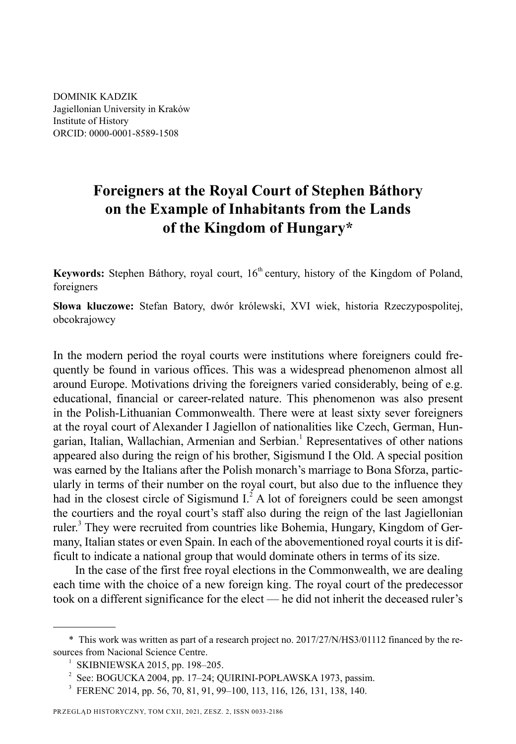DOMINIK KADZIK Jagiellonian University in Kraków Institute of History ORCID: 0000-0001-8589-1508

# **Foreigners at the Royal Court of Stephen Báthory on the Example of Inhabitants from the Lands of the Kingdom of Hungary\***

**Keywords:** Stephen Báthory, royal court, 16<sup>th</sup> century, history of the Kingdom of Poland, foreigners

**Słowa kluczowe:** Stefan Batory, dwór królewski, XVI wiek, historia Rzeczypospolitej, obcokrajowcy

In the modern period the royal courts were institutions where foreigners could frequently be found in various offices. This was a widespread phenomenon almost all around Europe. Motivations driving the foreigners varied considerably, being of e.g. educational, financial or career-related nature. This phenomenon was also present in the Polish-Lithuanian Commonwealth. There were at least sixty sever foreigners at the royal court of Alexander I Jagiellon of nationalities like Czech, German, Hungarian, Italian, Wallachian, Armenian and Serbian.<sup>1</sup> Representatives of other nations appeared also during the reign of his brother, Sigismund I the Old. A special position was earned by the Italians after the Polish monarch's marriage to Bona Sforza, particularly in terms of their number on the royal court, but also due to the influence they had in the closest circle of Sigismund  $I^2$ . A lot of foreigners could be seen amongst the courtiers and the royal court's staff also during the reign of the last Jagiellonian ruler.<sup>3</sup> They were recruited from countries like Bohemia, Hungary, Kingdom of Germany, Italian states or even Spain. In each of the abovementioned royal courts it is difficult to indicate a national group that would dominate others in terms of its size.

In the case of the first free royal elections in the Commonwealth, we are dealing each time with the choice of a new foreign king. The royal court of the predecessor took on a different significance for the elect — he did not inherit the deceased ruler's

<sup>\*</sup> This work was written as part of a research project no. 2017/27/N/HS3/01112 financed by the resources from Nacional Science Centre.

<sup>&</sup>lt;sup>1</sup> SKIBNIEWSKA 2015, pp. 198-205.

 $2^{2}$  See: BOGUCKA 2004, pp. 17–24; QUIRINI-POPŁAWSKA 1973, passim.

<sup>&</sup>lt;sup>3</sup> FERENC 2014, pp. 56, 70, 81, 91, 99–100, 113, 116, 126, 131, 138, 140.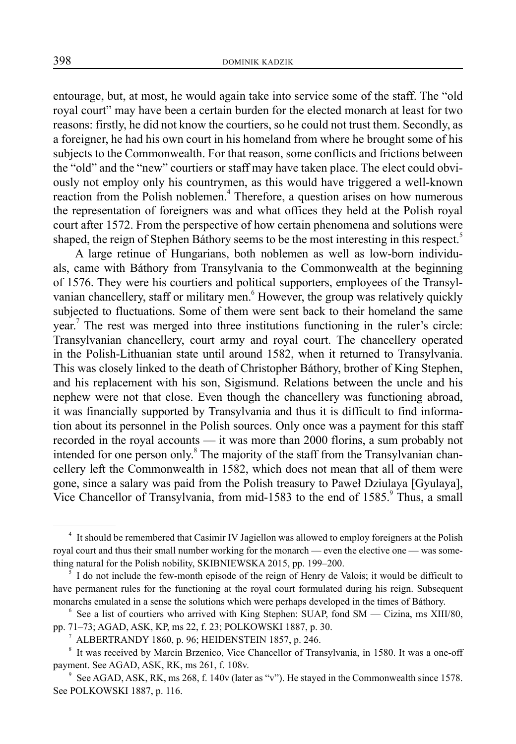entourage, but, at most, he would again take into service some of the staff. The "old royal court" may have been a certain burden for the elected monarch at least for two reasons: firstly, he did not know the courtiers, so he could not trust them. Secondly, as a foreigner, he had his own court in his homeland from where he brought some of his subjects to the Commonwealth. For that reason, some conflicts and frictions between the "old" and the "new" courtiers or staff may have taken place. The elect could obviously not employ only his countrymen, as this would have triggered a well-known reaction from the Polish noblemen.<sup>4</sup> Therefore, a question arises on how numerous the representation of foreigners was and what offices they held at the Polish royal court after 1572. From the perspective of how certain phenomena and solutions were shaped, the reign of Stephen Báthory seems to be the most interesting in this respect.<sup>5</sup>

A large retinue of Hungarians, both noblemen as well as low-born individuals, came with Báthory from Transylvania to the Commonwealth at the beginning of 1576. They were his courtiers and political supporters, employees of the Transylvanian chancellery, staff or military men. However, the group was relatively quickly subjected to fluctuations. Some of them were sent back to their homeland the same year.<sup>7</sup> The rest was merged into three institutions functioning in the ruler's circle: Transylvanian chancellery, court army and royal court. The chancellery operated in the Polish-Lithuanian state until around 1582, when it returned to Transylvania. This was closely linked to the death of Christopher Báthory, brother of King Stephen, and his replacement with his son, Sigismund. Relations between the uncle and his nephew were not that close. Even though the chancellery was functioning abroad, it was financially supported by Transylvania and thus it is difficult to find information about its personnel in the Polish sources. Only once was a payment for this staff recorded in the royal accounts — it was more than 2000 florins, a sum probably not intended for one person only.<sup>8</sup> The majority of the staff from the Transylvanian chancellery left the Commonwealth in 1582, which does not mean that all of them were gone, since a salary was paid from the Polish treasury to Paweł Dziulaya [Gyulaya], Vice Chancellor of Transylvania, from mid-1583 to the end of 1585.<sup>9</sup> Thus, a small

<sup>&</sup>lt;sup>4</sup> It should be remembered that Casimir IV Jagiellon was allowed to employ foreigners at the Polish royal court and thus their small number working for the monarch — even the elective one — was something natural for the Polish nobility, SKIBNIEWSKA 2015, pp. 199–200.

<sup>5</sup> I do not include the few-month episode of the reign of Henry de Valois; it would be difficult to have permanent rules for the functioning at the royal court formulated during his reign. Subsequent monarchs emulated in a sense the solutions which were perhaps developed in the times of Báthory.

 $6$  See a list of courtiers who arrived with King Stephen: SUAP, fond SM — Cizina, ms XIII/80, pp. 71–73; AGAD, ASK, KP, ms 22, f. 23; POLKOWSKI 1887, p. 30.

<sup>7</sup> ALBERTRANDY 1860, p. 96; HEIDENSTEIN 1857, p. 246.

<sup>&</sup>lt;sup>8</sup> It was received by Marcin Brzenico, Vice Chancellor of Transylvania, in 1580. It was a one-off payment. See AGAD, ASK, RK, ms 261, f. 108v.

<sup>9</sup> See AGAD, ASK, RK, ms 268, f. 140v (later as "v"). He stayed in the Commonwealth since 1578. See POLKOWSKI 1887, p. 116.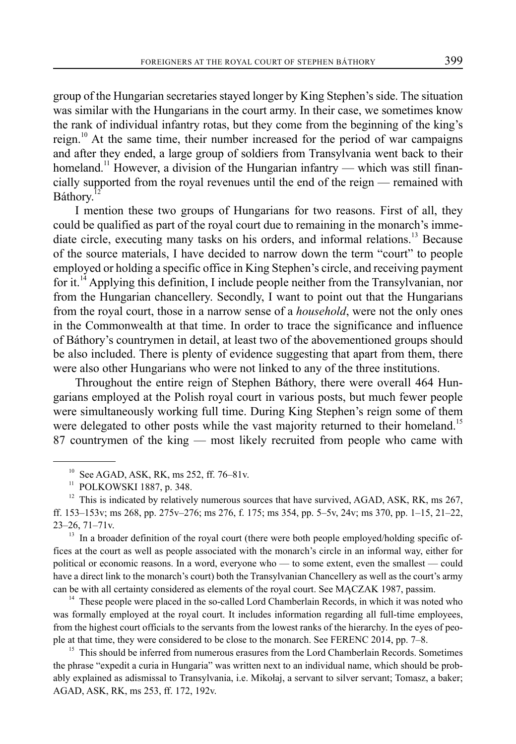group of the Hungarian secretaries stayed longer by King Stephen's side. The situation was similar with the Hungarians in the court army. In their case, we sometimes know the rank of individual infantry rotas, but they come from the beginning of the king's reign.<sup>10</sup> At the same time, their number increased for the period of war campaigns and after they ended, a large group of soldiers from Transylvania went back to their homeland.<sup>11</sup> However, a division of the Hungarian infantry — which was still financially supported from the royal revenues until the end of the reign — remained with Báthory.

I mention these two groups of Hungarians for two reasons. First of all, they could be qualified as part of the royal court due to remaining in the monarch's immediate circle, executing many tasks on his orders, and informal relations.<sup>13</sup> Because of the source materials, I have decided to narrow down the term "court" to people employed or holding a specific office in King Stephen's circle, and receiving payment for it.<sup>14</sup> Applying this definition, I include people neither from the Transylvanian, nor from the Hungarian chancellery. Secondly, I want to point out that the Hungarians from the royal court, those in a narrow sense of a *household*, were not the only ones in the Commonwealth at that time. In order to trace the significance and influence of Báthory's countrymen in detail, at least two of the abovementioned groups should be also included. There is plenty of evidence suggesting that apart from them, there were also other Hungarians who were not linked to any of the three institutions.

Throughout the entire reign of Stephen Báthory, there were overall 464 Hungarians employed at the Polish royal court in various posts, but much fewer people were simultaneously working full time. During King Stephen's reign some of them were delegated to other posts while the vast majority returned to their homeland.<sup>15</sup> 87 countrymen of the king — most likely recruited from people who came with

<sup>13</sup> In a broader definition of the royal court (there were both people employed/holding specific offices at the court as well as people associated with the monarch's circle in an informal way, either for political or economic reasons. In a word, everyone who — to some extent, even the smallest — could have a direct link to the monarch's court) both the Transylvanian Chancellery as well as the court's army can be with all certainty considered as elements of the royal court. See MĄCZAK 1987, passim.

<sup>14</sup> These people were placed in the so-called Lord Chamberlain Records, in which it was noted who was formally employed at the royal court. It includes information regarding all full-time employees, from the highest court officials to the servants from the lowest ranks of the hierarchy. In the eyes of people at that time, they were considered to be close to the monarch. See FERENC 2014, pp. 7–8.

 $15$  This should be inferred from numerous erasures from the Lord Chamberlain Records. Sometimes the phrase "expedit a curia in Hungaria" was written next to an individual name, which should be probably explained as adismissal to Transylvania, i.e. Mikołaj, a servant to silver servant; Tomasz, a baker; AGAD, ASK, RK, ms 253, ff. 172, 192v.

 $10$  See AGAD, ASK, RK, ms 252, ff. 76–81v.

<sup>&</sup>lt;sup>11</sup> POLKOWSKI 1887, p. 348.

 $12$  This is indicated by relatively numerous sources that have survived, AGAD, ASK, RK, ms 267, ff. 153–153v; ms 268, pp. 275v–276; ms 276, f. 175; ms 354, pp. 5–5v, 24v; ms 370, pp. 1–15, 21–22, 23–26, 71–71v.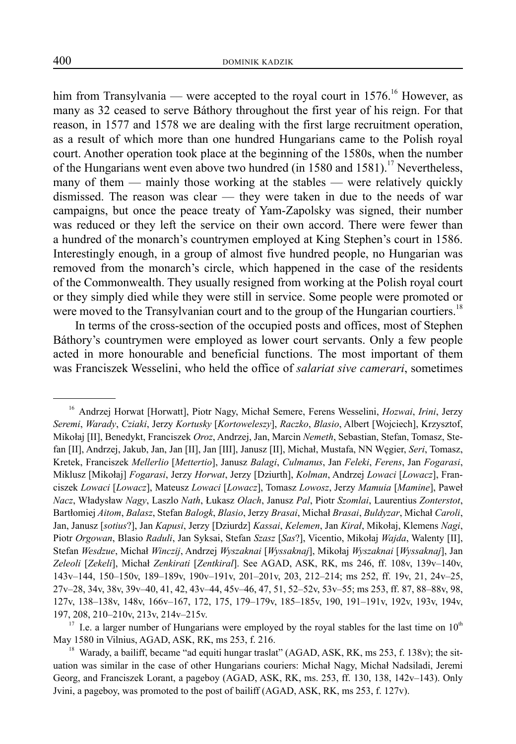him from Transylvania — were accepted to the royal court in  $1576$ .<sup>16</sup> However, as many as 32 ceased to serve Báthory throughout the first year of his reign. For that reason, in 1577 and 1578 we are dealing with the first large recruitment operation, as a result of which more than one hundred Hungarians came to the Polish royal court. Another operation took place at the beginning of the 1580s, when the number of the Hungarians went even above two hundred (in 1580 and 1581).<sup>17</sup> Nevertheless, many of them — mainly those working at the stables — were relatively quickly dismissed. The reason was clear — they were taken in due to the needs of war campaigns, but once the peace treaty of Yam-Zapolsky was signed, their number was reduced or they left the service on their own accord. There were fewer than a hundred of the monarch's countrymen employed at King Stephen's court in 1586. Interestingly enough, in a group of almost five hundred people, no Hungarian was removed from the monarch's circle, which happened in the case of the residents of the Commonwealth. They usually resigned from working at the Polish royal court or they simply died while they were still in service. Some people were promoted or were moved to the Transylvanian court and to the group of the Hungarian courtiers.<sup>18</sup>

In terms of the cross-section of the occupied posts and offices, most of Stephen Báthory's countrymen were employed as lower court servants. Only a few people acted in more honourable and beneficial functions. The most important of them was Franciszek Wesselini, who held the office of *salariat sive camerari*, sometimes

<sup>&</sup>lt;sup>16</sup> Andrzej Horwat [Horwatt], Piotr Nagy, Michał Semere, Ferens Wesselini, *Hozwai, Irini*, Jerzy *Seremi*, *Wa rady*, *Cziaki*, Jerzy *Kortusky* [*Kortoweleszy*], *Raczko*, *Bl asio*, Albert [W ojciech], Krzysztof, Mikołaj [II], Benedykt, Franciszek Oroz, Andrzej, Jan, Marcin Nemeth, Sebastian, Stefan, Tomasz, Stefan [II], Andrzej, Jakub, Jan, Jan [II], Jan [III], Janusz [II], Michał, Mustafa, NN Węgier, *Seri*, Tomasz, Kretek, Franciszek *Mellerlio* [*Mettertio*], Janusz *Balagi*, *Culmanus*, Jan *Feleki*, *Ferens*, Jan *Fogarasi*, Miklusz [Mikołaj] *Fogarasi*, Jerzy *Horwat*, Jerzy [Dziurth], *Kolman*, Andrzej *Lowaci* [*Lowacz*], Franciszek *Lowaci* [*Lowacz*], Mateusz *Lowaci* [*Lowacz*], Tomasz *Lowosz*, Jerzy *Mamuia* [*Mamine*], Paweł *Nacz*, Władysław *Nagy*, Laszlo *Nath*, Łukasz *Olach*, Janusz *Pal* , Piotr *Szomlai*, Laurentius *Zonterstot*, Bartłomiej *Aitom*, *Balasz*, Ste fan *Balogk*, *Blasio*, Jerzy *Brasai*, Michał *Brasai*, *Buldyzar*, Mi chał *Caroli*, Jan, Janusz [*sotius*?], Jan *Kapusi*, Jerzy [Dziurdz] *Kassai*, *Kelemen*, Jan *Kirał*, Mikołaj, Kleme ns *Nagi*, Piotr Orgowan, Blasio Raduli, Jan Syksai, Stefan Szasz [Sas?], Vicentio, Mikołaj Wajda, Walenty [II], Stefan *Wesdzue*, Michał *Winczij*, Andrzej *Wyszaknai* [*Wyssaknaj*], Mikołaj *Wyszaknai* [*Wyssaknaj*], Jan *Zeleoli* [*Zekeli*], Michał *Zenkirati* [*Zentkiral*]. See AGAD, ASK, RK, ms 246, ff. 108v, 139v–140v, 143v–144, 150–150v, 189–189v, 190v–191v, 201–201v, 203, 212–214; ms 252, ff. 19v, 21, 24v–25, 27v–28, 34v, 38v, 39v–40, 41, 42, 43v–44, 45v–46, 47, 51, 52–52v, 53v–55; ms 253, ff. 87, 88–88v, 98, 127v, 138–138v, 148v, 166v–167, 172, 175, 179–179v, 185–185v, 190, 191–191v, 192v, 193v, 194v, 197, 208, 210–210v, 213v, 214v–215v.

<sup>&</sup>lt;sup>17</sup> I.e. a larger number of Hungarians were employed by the royal stables for the last time on  $10<sup>th</sup>$ May 1580 in Vilnius, AGAD, ASK, RK, ms 253, f. 216.

<sup>&</sup>lt;sup>18</sup> Warady, a bailiff, became "ad equiti hungar traslat" (AGAD, ASK, RK, ms 253, f. 138v); the situation was similar in the case of other Hungarians couriers: Michał Nagy, Michał Nadsiladi, Jeremi Georg, and Franciszek Lorant, a pageboy (AGAD, ASK, RK, ms. 253, ff. 130, 138, 142v–143). Only Jvini, a pageboy, was promoted to the post of bailiff (AGAD, ASK, RK, ms 253, f. 127v).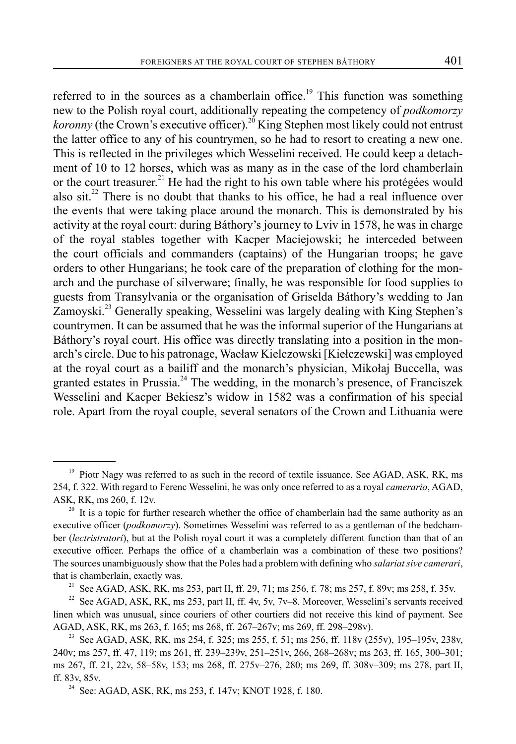referred to in the sources as a chamberlain office.<sup>19</sup> This function was something new to the Polish royal court, additionally repeating the competency of *podkomorzy koronny* (the Crown's executive officer).<sup>20</sup> King Stephen most likely could not entrust the latter office to any of his countrymen, so he had to resort to creating a new one. This is reflected in the privileges which Wesselini received. He could keep a detachment of 10 to 12 horses, which was as many as in the case of the lord chamberlain or the court treasurer.<sup>21</sup> He had the right to his own table where his protégées would also sit.<sup>22</sup> There is no doubt that thanks to his office, he had a real influence over the events that were taking place around the monarch. This is demonstrated by his activity at the royal court: during Báthory's journey to Lviv in 1578, he was in charge of the royal stables together with Kacper Maciejowski; he interceded between the court officials and commanders (captains) of the Hungarian troops; he gave orders to other Hungarians; he took care of the preparation of clothing for the monarch and the purchase of silverware; finally, he was responsible for food supplies to guests from Transylvania or the organisation of Griselda Báthory's wedding to Jan Zamoyski.<sup>23</sup> Generally speaking, Wesselini was largely dealing with King Stephen's countrymen. It can be assumed that he was the informal superior of the Hungarians at Báthory's royal court. His office was directly translating into a position in the monarch's circle. Due to his patronage, Wacław Kielczowski [Kiełczewski] was employed at the royal court as a bailiff and the monarch's physician, Mikołaj Buccella, was granted estates in Prussia.<sup>24</sup> The wedding, in the monarch's presence, of Franciszek Wesselini and Kacper Bekiesz's widow in 1582 was a confirmation of his special role. Apart from the royal couple, several senators of the Crown and Lithuania were

<sup>&</sup>lt;sup>19</sup> Piotr Nagy was referred to as such in the record of textile issuance. See AGAD, ASK, RK, ms 254, f. 322. With regard to Ferenc Wesselini, he was only once referred to as a royal *camerario*, AGAD, ASK, RK, ms 260, f. 12v.

It is a topic for further research whether the office of chamberlain had the same authority as an executive officer (*podkomorzy*). Sometimes Wesselini was referred to as a gentleman of the bedchamber (*lectristratori*), but at the Polish royal court it was a completely different function than that of an executive officer. Perhaps the office of a chamberlain was a combination of these two positions? The sources unambiguously show that the Poles had a problem with defining who *salariat sive camerari*, that is chamberlain, exactly was.<br><sup>21</sup> See AGAD, ASK, RK, ms 253, part II, ff. 29, 71; ms 256, f. 78; ms 257, f. 89v; ms 258, f. 35v.

<sup>&</sup>lt;sup>22</sup> See AGAD, ASK, RK, ms 253, part II, ff. 4v, 5v, 7v–8. Moreover, Wesselini's servants received linen which was unusual, since couriers of other courtiers did not receive this kind of payment. See AGAD, ASK, RK, ms 263, f. 165; ms 268, ff. 267–267v; ms 269, ff. 298–298v).<br><sup>23</sup> See AGAD, ASK, RK, ms 254, f. 325; ms 255, f. 51; ms 256, ff. 118v (255v), 195–195v, 238v,

<sup>240</sup>v; ms 257, ff. 47, 119; ms 261, ff. 239‒239v, 251‒251v, 266, 268‒268v; ms 263, ff. 165, 300‒301; ms 267, ff. 21, 22v, 58–58v, 153; ms 268, ff. 275v–276, 280; ms 269, ff. 308v–309; ms 278, part II, ff. 83v, 85v.<br><sup>24</sup> See: AGAD, ASK, RK, ms 253, f. 147v; KNOT 1928, f. 180.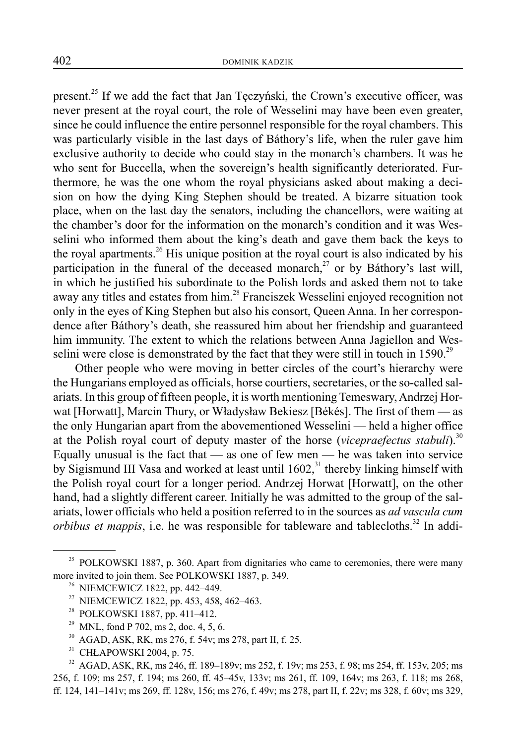present.25 If we add the fact that Jan Tęczyński, the Crown's executive officer, was never present at the royal court, the role of Wesselini may have been even greater, since he could influence the entire personnel responsible for the royal chambers. This was particularly visible in the last days of Báthory's life, when the ruler gave him exclusive authority to decide who could stay in the monarch's chambers. It was he who sent for Buccella, when the sovereign's health significantly deteriorated. Furthermore, he was the one whom the royal physicians asked about making a decision on how the dying King Stephen should be treated. A bizarre situation took place, when on the last day the senators, including the chancellors, were waiting at the chamber's door for the information on the monarch's condition and it was Wesselini who informed them about the king's death and gave them back the keys to the royal apartments.<sup>26</sup> His unique position at the royal court is also indicated by his participation in the funeral of the deceased monarch,<sup>27</sup> or by Báthory's last will, in which he justified his subordinate to the Polish lords and asked them not to take away any titles and estates from him.<sup>28</sup> Franciszek Wesselini enjoyed recognition not only in the eyes of King Stephen but also his consort, Queen Anna. In her correspondence after Báthory's death, she reassured him about her friendship and guaranteed him immunity. The extent to which the relations between Anna Jagiellon and Wesselini were close is demonstrated by the fact that they were still in touch in  $1590.^{29}$ 

Other people who were moving in better circles of the court's hierarchy were the Hungarians employed as officials, horse courtiers, secretaries, or the so-called salariats. In this group of fifteen people, it is worth mentioning Temeswary, Andrzej Horwat [Horwatt], Marcin Thury, or Władysław Bekiesz [Békés]. The first of them — as the only Hungarian apart from the abovementioned Wesselini — held a higher office at the Polish royal court of deputy master of the horse (*vicepraefectus stabuli*).<sup>30</sup> Equally unusual is the fact that  $-$  as one of few men  $-$  he was taken into service by Sigismund III Vasa and worked at least until  $1602$ ,<sup>31</sup> thereby linking himself with the Polish royal court for a longer period. Andrzej Horwat [Horwatt], on the other hand, had a slightly different career. Initially he was admitted to the group of the salariats, lower officials who held a position referred to in the sources as *ad vascula cum orbibus et mappis*, i.e. he was responsible for tableware and tablecloths.<sup>32</sup> In addi-

<sup>&</sup>lt;sup>25</sup> POLKOWSKI 1887, p. 360. Apart from dignitaries who came to ceremonies, there were many more invited to join them. See POLKOWSKI 1887, p. 349.

<sup>&</sup>lt;sup>26</sup> NIEMCEWICZ 1822, pp. 442–449.<br><sup>27</sup> NIEMCEWICZ 1822, pp. 453, 458.

<sup>27</sup> NIEMCEWICZ 1822, pp. 453, 458, 462–463.

<sup>&</sup>lt;sup>28</sup> POLKOWSKI 1887, pp. 411–412.<br><sup>29</sup> MNL fond P 702, ms 2, doc. 4, 5,

MNL, fond P 702, ms 2, doc. 4, 5, 6.

<sup>&</sup>lt;sup>30</sup> AGAD, ASK, RK, ms 276, f. 54v; ms 278, part II, f. 25.<br><sup>31</sup> CH<sub>R</sub> ADOWSK1 2004, p. 75.

CHŁAPOWSKI 2004, p. 75.

<sup>&</sup>lt;sup>32</sup> AGAD, ASK, RK, ms 246, ff. 189–189v; ms 252, f. 19v; ms 253, f. 98; ms 254, ff. 153v, 205; ms 256, f. 109; ms 257, f. 194; ms 260, ff. 45–45v, 133v; ms 261, ff. 109, 164v; ms 263, f. 118; ms 268, ff. 124, 141–141v; ms 269, ff. 128v, 156; ms 276, f. 49v; ms 278, part II, f. 22v; ms 328, f. 60v; ms 329,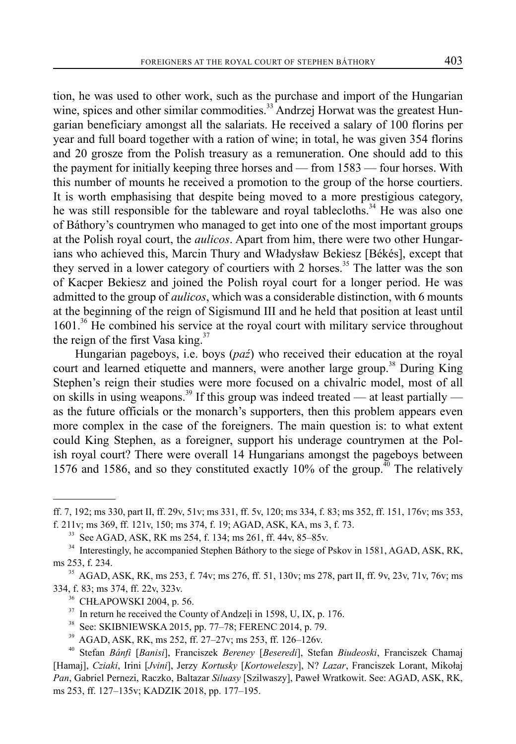tion, he was used to other work, such as the purchase and import of the Hungarian wine, spices and other similar commodities.<sup>33</sup> Andrzej Horwat was the greatest Hungarian beneficiary amongst all the salariats. He received a salary of 100 florins per year and full board together with a ration of wine; in total, he was given 354 florins and 20 grosze from the Polish treasury as a remuneration. One should add to this the payment for initially keeping three horses and — from 1583 — four horses. With this number of mounts he received a promotion to the group of the horse courtiers. It is worth emphasising that despite being moved to a more prestigious category, he was still responsible for the tableware and royal tablecloths.<sup>34</sup> He was also one of Báthory's countrymen who managed to get into one of the most important groups at the Polish royal court, the *aulicos*. Apart from him, there were two other Hungarians who achieved this, Marcin Thury and Władysław Bekiesz [Békés], except that they served in a lower category of courtiers with 2 horses.<sup>35</sup> The latter was the son of Kacper Bekiesz and joined the Polish royal court for a longer period. He was admitted to the group of *aulicos*, which was a considerable distinction, with 6 mounts at the beginning of the reign of Sigismund III and he held that position at least until 1601.<sup>36</sup> He combined his service at the royal court with military service throughout the reign of the first Vasa king. $37$ 

Hungarian pageboys, i.e. boys (*paź*) who received their education at the royal court and learned etiquette and manners, were another large group.<sup>38</sup> During King Stephen's reign their studies were more focused on a chivalric model, most of all on skills in using weapons.<sup>39</sup> If this group was indeed treated — at least partially as the future officials or the monarch's supporters, then this problem appears even more complex in the case of the foreigners. The main question is: to what extent could King Stephen, as a foreigner, support his underage countrymen at the Polish royal court? There were overall 14 Hungarians amongst the pageboys between 1576 and 1586, and so they constituted exactly 10% of the group.<sup>40</sup> The relatively

39 AGAD, ASK, RK, ms 252, ff. 27–27v; ms 253, ff. 126–126v.

ff. 7, 192; ms 330, part II, ff. 29v, 51v; ms 331, ff. 5v, 120; ms 334, f. 83; ms 352, ff. 151, 176v; ms 353, f. 211v; ms 369, ff. 121v, 150; ms 374, f. 19; AGAD, ASK, KA, ms 3, f. 73.

<sup>&</sup>lt;sup>33</sup> See AGAD, ASK, RK ms 254, f. 134; ms 261, ff. 44v, 85–85v.

<sup>&</sup>lt;sup>34</sup> Interestingly, he accompanied Stephen Báthory to the siege of Pskov in 1581, AGAD, ASK, RK, ms 253, f. 234. 35 AGAD, ASK, RK, ms 253, f. 74v; ms 276, ff. 51, 130v; ms 278, part II, ff. 9v, 23v, 71v, 76v; ms

<sup>334,</sup> f. 83; ms 374, ff. 22v, 323v. 36 CHŁAPOWSKI 2004, p. 56.

<sup>&</sup>lt;sup>37</sup> In return he received the County of Andzeli in 1598, U, IX, p. 176.<br><sup>38</sup> See: SKIBNIEWSKA 2015. pp. 77–78: EERENC 2014. p. 79.

See: SKIBNIEWSKA 2015, pp. 77–78; FERENC 2014, p. 79.

<sup>40</sup> Stefan *Bánfi* [*Banisi*], Franciszek *Bereney* [*Beseredi*], Stefan *Biudeoski*, F ranciszek Chamaj [Hamaj], *Cziaki*, Irini [*Jvini*], Jerzy *Kortusky* [*Kortoweleszy*], N? *Lazar*, Franciszek Lorant, Mikołaj *Pan*, Gabriel Pernezi, Raczko, Baltazar *Siluasy* [Szilwaszy], Paweł Wratkowit. See: AGAD, ASK, RK, ms 253, ff. 127–135v; KADZIK 2018, pp. 177–195.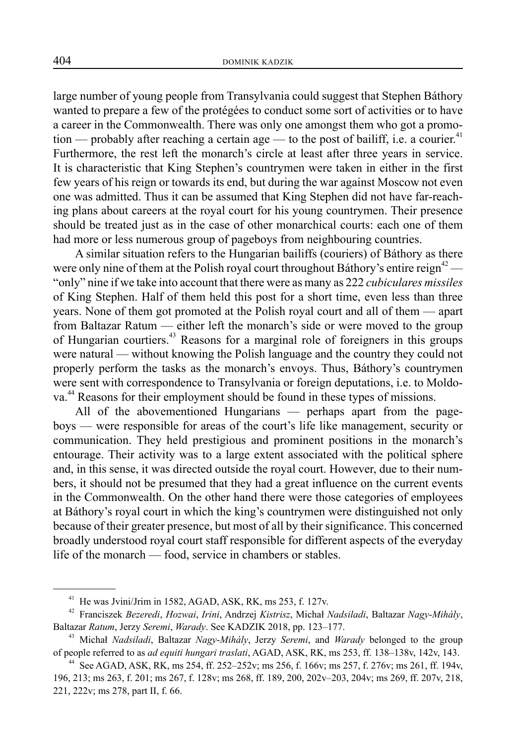large number of young people from Transylvania could suggest that Stephen Báthory wanted to prepare a few of the protégées to conduct some sort of activities or to have a career in the Commonwealth. There was only one amongst them who got a promotion — probably after reaching a certain age — to the post of bailiff, i.e. a courier.<sup>41</sup> Furthermore, the rest left the monarch's circle at least after three years in service. It is characteristic that King Stephen's countrymen were taken in either in the first few years of his reign or towards its end, but during the war against Moscow not even one was admitted. Thus it can be assumed that King Stephen did not have far-reaching plans about careers at the royal court for his young countrymen. Their presence should be treated just as in the case of other monarchical courts: each one of them had more or less numerous group of pageboys from neighbouring countries.

A similar situation refers to the Hungarian bailiffs (couriers) of Báthory as there were only nine of them at the Polish royal court throughout Báthory's entire reign<sup>42</sup> — "only" nine if we take into account that there were as many as 222 *cubiculares missiles* of King Stephen. Half of them held this post for a short time, even less than three years. None of them got promoted at the Polish royal court and all of them — apart from Baltazar Ratum — either left the monarch's side or were moved to the group of Hungarian courtiers.43 Reasons for a marginal role of foreigners in this groups were natural — without knowing the Polish language and the country they could not properly perform the tasks as the monarch's envoys. Thus, Báthory's countrymen were sent with correspondence to Transylvania or foreign deputations, i.e. to Moldova.<sup>44</sup> Reasons for their employment should be found in these types of missions.

All of the abovementioned Hungarians — perhaps apart from the pageboys — were responsible for areas of the court's life like management, security or communication. They held prestigious and prominent positions in the monarch's entourage. Their activity was to a large extent associated with the political sphere and, in this sense, it was directed outside the royal court. However, due to their numbers, it should not be presumed that they had a great influence on the current events in the Commonwealth. On the other hand there were those categories of employees at Báthory's royal court in which the king's countrymen were distinguished not only because of their greater presence, but most of all by their significance. This concerned broadly understood royal court staff responsible for different aspects of the everyday life of the monarch — food, service in chambers or stables.

<sup>&</sup>lt;sup>41</sup> He was Jvini/Jrim in 1582, AGAD, ASK, RK, ms 253, f. 127v.

<sup>42</sup> Franciszek *Bezeredi*, *Hozwai*, *Irini*, Andrzej *Kistrisz*, Michał *Nadsiladi*, Baltazar *Nagy*-*Mihály*, Baltazar Ratum, Jerzy Seremi, Warady. See KADZIK 2018, pp. 123-177.

<sup>43</sup> Michał *Nadsiladi*, Baltazar *Nagy*-*Mihály*, Jerzy *Seremi*, and *Warady* belonged to the group of people referred to as *ad equiti hungari traslati*, AGAD, ASK, RK, ms 253, ff. 138–138v, 142v, 143.

<sup>&</sup>lt;sup>44</sup> See AGAD, ASK, RK, ms 254, ff. 252–252v; ms 256, f. 166v; ms 257, f. 276v; ms 261, ff. 194v, 196, 213; ms 263, f. 201; ms 267, f. 128v; ms 268, ff. 189, 200, 202v‒203, 204v; ms 269, ff. 207v, 218, 221, 222v; ms 278, part II, f. 66.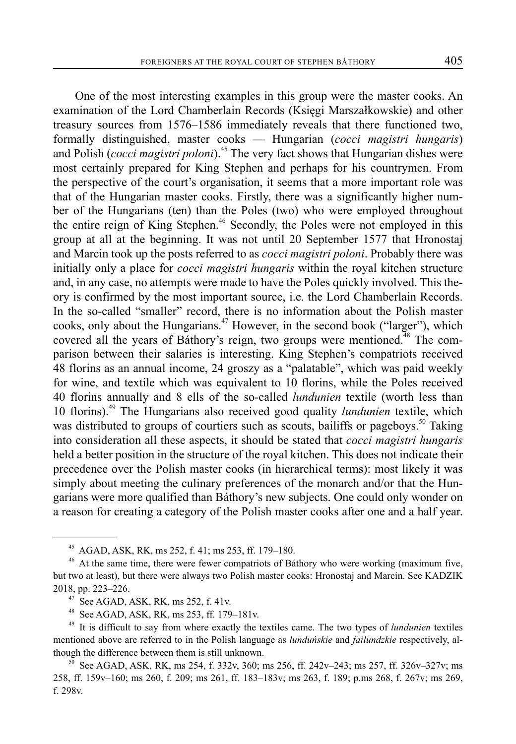One of the most interesting examples in this group were the master cooks. An examination of the Lord Chamberlain Records (Księgi Marszałkowskie) and other treasury sources from 1576–1586 immediately reveals that there functioned two, formally distinguished, master cooks — Hungarian (*cocci magistri hungaris*) and Polish (*cocci magistri poloni*).<sup>45</sup> The very fact shows that Hungarian dishes were most certainly prepared for King Stephen and perhaps for his countrymen. From the perspective of the court's organisation, it seems that a more important role was that of the Hungarian master cooks. Firstly, there was a significantly higher number of the Hungarians (ten) than the Poles (two) who were employed throughout the entire reign of King Stephen.<sup>46</sup> Secondly, the Poles were not employed in this group at all at the beginning. It was not until 20 September 1577 that Hronostaj and Marcin took up the posts referred to as *cocci magistri poloni*. Probably there was initially only a place for *cocci magistri hungaris* within the royal kitchen structure and, in any case, no attempts were made to have the Poles quickly involved. This theory is confirmed by the most important source, i.e. the Lord Chamberlain Records. In the so-called "smaller" record, there is no information about the Polish master cooks, only about the Hungarians.<sup> $47$ </sup> However, in the second book ("larger"), which covered all the years of Báthory's reign, two groups were mentioned.<sup>48</sup> The comparison between their salaries is interesting. King Stephen's compatriots received 48 florins as an annual income, 24 groszy as a "palatable", which was paid weekly for wine, and textile which was equivalent to 10 florins, while the Poles received 40 florins annually and 8 ells of the so-called *lundunien* textile (worth less than 10 florins).49 The Hungarians also received good quality *lundunien* textile, which was distributed to groups of courtiers such as scouts, bailiffs or pageboys.<sup>50</sup> Taking into consideration all these aspects, it should be stated that *cocci magistri hungaris* held a better position in the structure of the royal kitchen. This does not indicate their precedence over the Polish master cooks (in hierarchical terms): most likely it was simply about meeting the culinary preferences of the monarch and/or that the Hungarians were more qualified than Báthory's new subjects. One could only wonder on a reason for creating a category of the Polish master cooks after one and a half year.

<sup>45</sup> AGAD, ASK, RK, ms 252, f. 41; ms 253, ff. 179–180.

<sup>46</sup> At the same time, there were fewer compatriots of Báthory who were working (maximum five, but two at least), but there were always two Polish master cooks: Hronostaj and Marcin. See KADZIK 2018, pp. 223–226.

<sup>&</sup>lt;sup>47</sup> See AGAD, ASK, RK, ms 252, f. 41v.<br><sup>48</sup> See AGAD, ASK, RK, ms 253, ff. 179

See AGAD, ASK, RK, ms 253, ff. 179–181v.

<sup>49</sup> It is difficult to say from where exactly the textiles came. The two types of *lundunien* textiles mentioned above are referred to in the Polish language as *lunduńskie* and *failundzkie* respectively, although the difference between them is still unknown.<br><sup>50</sup> See AGAD, ASK, RK, ms 254, f. 332v, 360; ms 256, ff. 242v–243; ms 257, ff. 326v–327v; ms

<sup>258,</sup> ff. 159v‒160; ms 260, f. 209; ms 261, ff. 183‒183v; ms 263, f. 189; p.ms 268, f. 267v; ms 269, f. 298v.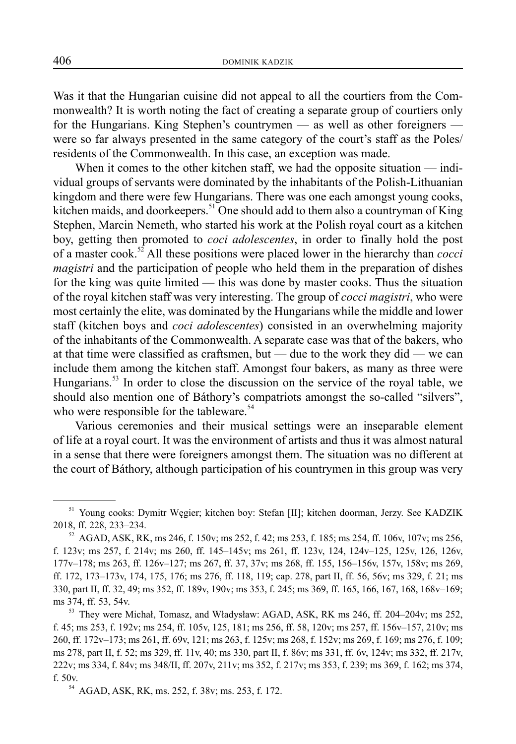Was it that the Hungarian cuisine did not appeal to all the courtiers from the Commonwealth? It is worth noting the fact of creating a separate group of courtiers only for the Hungarians. King Stephen's countrymen — as well as other foreigners were so far always presented in the same category of the court's staff as the Poles/ residents of the Commonwealth. In this case, an exception was made.

When it comes to the other kitchen staff, we had the opposite situation — individual groups of servants were dominated by the inhabitants of the Polish-Lithuanian kingdom and there were few Hungarians. There was one each amongst young cooks, kitchen maids, and doorkeepers.<sup>51</sup> One should add to them also a countryman of King Stephen, Marcin Nemeth, who started his work at the Polish royal court as a kitchen boy, getting then promoted to *coci adolescentes*, in order to finally hold the post of a master cook.52 All these positions were placed lower in the hierarchy than *cocci magistri* and the participation of people who held them in the preparation of dishes for the king was quite limited — this was done by master cooks. Thus the situation of the royal kitchen staff was very interesting. The group of *cocci magistri*, who were most certainly the elite, was dominated by the Hungarians while the middle and lower staff (kitchen boys and *coci adolescentes*) consisted in an overwhelming majority of the inhabitants of the Commonwealth. A separate case was that of the bakers, who at that time were classified as craftsmen, but — due to the work they did — we can include them among the kitchen staff. Amongst four bakers, as many as three were Hungarians.<sup>53</sup> In order to close the discussion on the service of the royal table, we should also mention one of Báthory's compatriots amongst the so-called "silvers", who were responsible for the tableware.<sup>54</sup>

Various ceremonies and their musical settings were an inseparable element of life at a royal court. It was the environment of artists and thus it was almost natural in a sense that there were foreigners amongst them. The situation was no different at the court of Báthory, although participation of his countrymen in this group was very

<sup>51</sup> Young cooks: Dymitr Węgier; kitchen boy: Stefan [II]; kitchen doorman, Jerzy. See KADZIK 2018, ff. 228, 233–234.

<sup>&</sup>lt;sup>52</sup> AGAD, ASK, RK, ms 246, f. 150v; ms 252, f. 42; ms 253, f. 185; ms 254, ff. 106v, 107v; ms 256, f. 123v; ms 257, f. 214v; ms 260, ff. 145–145v; ms 261, ff. 123v, 124, 124v–125, 125v, 126, 126v, 177v–178; ms 263, ff. 126v–127; ms 267, ff. 37, 37v; ms 268, ff. 155, 156–156v, 157v, 158v; ms 269, ff. 172, 173–173v, 174, 175, 176; ms 276, ff. 118, 119; cap. 278, part II, ff. 56, 56v; ms 329, f. 21; ms 330, part II, ff. 32, 49; ms 352, ff. 189v, 190v; ms 353, f. 245; ms 369, ff. 165, 166, 167, 168, 168v–169; ms 374, ff. 53, 54v.

<sup>&</sup>lt;sup>53</sup> They were Michał, Tomasz, and Władysław: AGAD, ASK, RK ms 246, ff. 204–204v; ms 252, f. 45; ms 253, f. 192v; ms 254, ff. 105v, 125, 181; ms 256, ff. 58, 120v; ms 257, ff. 156v–157, 210v; ms 260, ff. 172v–173; ms 261, ff. 69v, 121; ms 263, f. 125v; ms 268, f. 152v; ms 269, f. 169; ms 276, f. 109; ms 278, part II, f. 52; ms 329, ff. 11v, 40; ms 330, part II, f. 86v; ms 331, ff. 6v, 124v; ms 332, ff. 217v, 222v; ms 334, f. 84v; ms 348/II, ff. 207v, 211v; ms 352, f. 217v; ms 353, f. 239; ms 369, f. 162; ms 374, f. 50v.

<sup>54</sup> AGAD, ASK, RK, ms. 252, f. 38v; ms. 253, f. 172.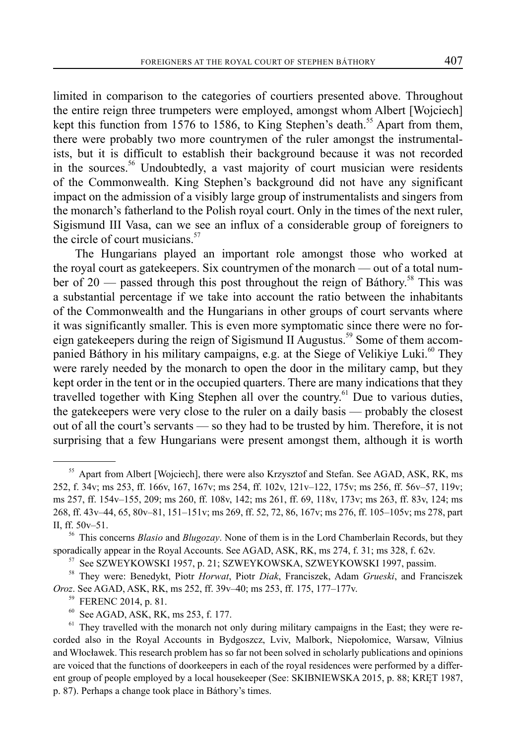limited in comparison to the categories of courtiers presented above. Throughout the entire reign three trumpeters were employed, amongst whom Albert [Wojciech] kept this function from 1576 to 1586, to King Stephen's death.<sup>55</sup> Apart from them, there were probably two more countrymen of the ruler amongst the instrumentalists, but it is difficult to establish their background because it was not recorded in the sources.<sup>56</sup> Undoubtedly, a vast majority of court musician were residents of the Commonwealth. King Stephen's background did not have any significant impact on the admission of a visibly large group of instrumentalists and singers from the monarch's fatherland to the Polish royal court. Only in the times of the next ruler, Sigismund III Vasa, can we see an influx of a considerable group of foreigners to the circle of court musicians.<sup>57</sup>

The Hungarians played an important role amongst those who worked at the royal court as gatekeepers. Six countrymen of the monarch — out of a total number of 20 — passed through this post throughout the reign of Báthory.<sup>58</sup> This was a substantial percentage if we take into account the ratio between the inhabitants of the Commonwealth and the Hungarians in other groups of court servants where it was significantly smaller. This is even more symptomatic since there were no foreign gatekeepers during the reign of Sigismund II Augustus.<sup>59</sup> Some of them accompanied Báthory in his military campaigns, e.g. at the Siege of Velikiye Luki.<sup>60</sup> They were rarely needed by the monarch to open the door in the military camp, but they kept order in the tent or in the occupied quarters. There are many indications that they travelled together with King Stephen all over the country.<sup>61</sup> Due to various duties, the gatekeepers were very close to the ruler on a daily basis — probably the closest out of all the court's servants — so they had to be trusted by him. Therefore, it is not surprising that a few Hungarians were present amongst them, although it is worth

<sup>&</sup>lt;sup>55</sup> Apart from Albert [Wojciech], there were also Krzysztof and Stefan. See AGAD, ASK, RK, ms 252, f. 34v; ms 253, ff. 166v, 167, 167v; ms 254, ff. 102v, 121v–122, 175v; ms 256, ff. 56v–57, 119v; ms 257, ff. 154v–155, 209; ms 260, ff. 108v, 142; ms 261, ff. 69, 118v, 173v; ms 263, ff. 83v, 124; ms 268, ff. 43v–44, 65, 80v–81, 151–151v; ms 269, ff. 52, 72, 86, 167v; ms 276, ff. 105–105v; ms 278, part II, ff. 50v–51.

<sup>56</sup> This concerns *Blasio* and *Blugozay*. None of them is in the Lord Chamberlain Records, but they sporadically appear in the Royal Accounts. See AGAD, ASK, RK, ms 274, f. 31; ms 328, f. 62v.

<sup>57</sup> See SZWEYKOWSKI 1957, p. 21; SZWEYKOWSKA, SZWEYKOWSKI 1997, passim.

<sup>58</sup> They were: Benedykt, Piotr *Horwat*, Piotr *Diak*, Franciszek, Adam *Grueski*, and Franciszek *Oroz*. See AGAD, ASK, RK, ms 252, ff. 39v–40; ms 253, ff. 175, 177–177v.

 $^{59}$  FERENC 2014, p. 81.<br> $^{60}$  See AGAD ASK RK

See AGAD, ASK, RK, ms 253, f. 177.

<sup>&</sup>lt;sup>61</sup> They travelled with the monarch not only during military campaigns in the East; they were recorded also in the Royal Accounts in Bydgoszcz, Lviv, Malbork, Niepołomice, Warsaw, Vilnius and Włocławek. This research problem has so far not been solved in scholarly publications and opinions are voiced that the functions of doorkeepers in each of the royal residences were performed by a different group of people employed by a local housekeeper (See: SKIBNIEWSKA 2015, p. 88; KRĘT 1987, p. 87). Perhaps a change took place in Báthory's times.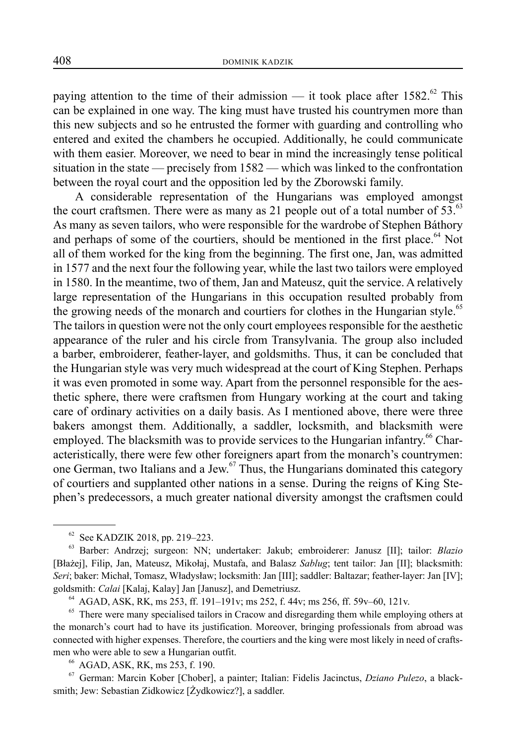paying attention to the time of their admission — it took place after  $1582$ <sup>62</sup>. This can be explained in one way. The king must have trusted his countrymen more than this new subjects and so he entrusted the former with guarding and controlling who entered and exited the chambers he occupied. Additionally, he could communicate with them easier. Moreover, we need to bear in mind the increasingly tense political situation in the state — precisely from 1582 — which was linked to the confrontation between the royal court and the opposition led by the Zborowski family.

A considerable representation of the Hungarians was employed amongst the court craftsmen. There were as many as 21 people out of a total number of  $53$ .<sup>63</sup> As many as seven tailors, who were responsible for the wardrobe of Stephen Báthory and perhaps of some of the courtiers, should be mentioned in the first place.<sup>64</sup> Not all of them worked for the king from the beginning. The first one, Jan, was admitted in 1577 and the next four the following year, while the last two tailors were employed in 1580. In the meantime, two of them, Jan and Mateusz, quit the service. A relatively large representation of the Hungarians in this occupation resulted probably from the growing needs of the monarch and courtiers for clothes in the Hungarian style.<sup>65</sup> The tailors in question were not the only court employees responsible for the aesthetic appearance of the ruler and his circle from Transylvania. The group also included a barber, embroiderer, feather-layer, and goldsmiths. Thus, it can be concluded that the Hungarian style was very much widespread at the court of King Stephen. Perhaps it was even promoted in some way. Apart from the personnel responsible for the aesthetic sphere, there were craftsmen from Hungary working at the court and taking care of ordinary activities on a daily basis. As I mentioned above, there were three bakers amongst them. Additionally, a saddler, locksmith, and blacksmith were employed. The blacksmith was to provide services to the Hungarian infantry.<sup>66</sup> Characteristically, there were few other foreigners apart from the monarch's countrymen: one German, two Italians and a Jew.67 Thus, the Hungarians dominated this category of courtiers and supplanted other nations in a sense. During the reigns of King Stephen's predecessors, a much greater national diversity amongst the craftsmen could

 $62$  See KADZIK 2018, pp. 219–223.

<sup>63</sup> Barber: Andrzej; surgeon: NN; undertaker: Jakub; embroiderer: Janusz [II]; tailor: *Blazio* [Błażej], Filip, Jan, Mateusz, Mikołaj, Mustafa, and Balasz *Sablug*; tent tailor: Jan [II]; blacksmith: *Seri*; baker: Michał, Tomasz, Władysław; locksmith: Jan [III]; saddler: Baltazar; feather-layer: Jan [IV]; goldsmith: *Calai* [Kalaj, Kalay] Jan [Janusz], and Demetriusz.<br><sup>64</sup> AGAD, ASK, RK, ms 253, ff. 191–191v; ms 252, f. 44v; ms 256, ff. 59v–60, 121v.

<sup>&</sup>lt;sup>65</sup> There were many specialised tailors in Cracow and disregarding them while employing others at the monarch's court had to have its justification. Moreover, bringing professionals from abroad was connected with higher expenses. Therefore, the courtiers and the king were most likely in need of craftsmen who were able to sew a Hungarian outfit. 66 AGAD, ASK, RK, ms 253, f. 190.

<sup>67</sup> German: Marcin Kober [Chober], a painter; Italian: Fidelis Jacinctus, *Dziano Pulezo*, a blacksmith; Jew: Sebastian Zidkowicz [Żydkowicz?], a saddler.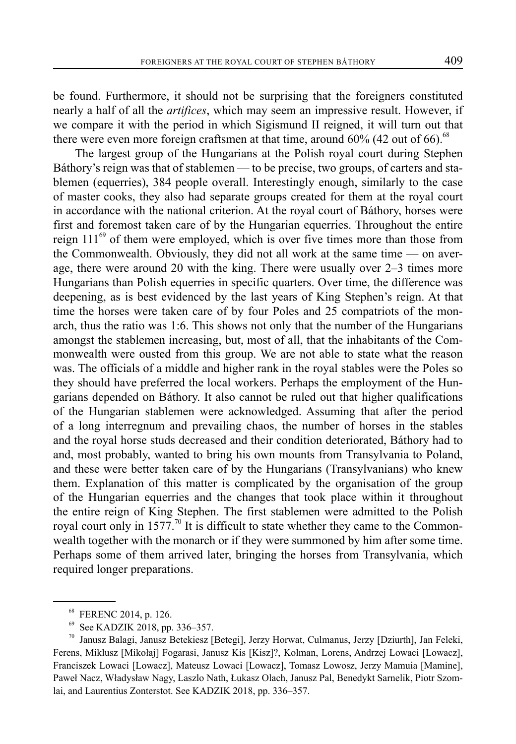be found. Furthermore, it should not be surprising that the foreigners constituted nearly a half of all the *artifices*, which may seem an impressive result. However, if we compare it with the period in which Sigismund II reigned, it will turn out that there were even more foreign craftsmen at that time, around  $60\%$  (42 out of 66).<sup>68</sup>

The largest group of the Hungarians at the Polish royal court during Stephen Báthory's reign was that of stablemen — to be precise, two groups, of carters and stablemen (equerries), 384 people overall. Interestingly enough, similarly to the case of master cooks, they also had separate groups created for them at the royal court in accordance with the national criterion. At the royal court of Báthory, horses were first and foremost taken care of by the Hungarian equerries. Throughout the entire reign  $111^{69}$  of them were employed, which is over five times more than those from the Commonwealth. Obviously, they did not all work at the same time — on average, there were around 20 with the king. There were usually over 2–3 times more Hungarians than Polish equerries in specific quarters. Over time, the difference was deepening, as is best evidenced by the last years of King Stephen's reign. At that time the horses were taken care of by four Poles and 25 compatriots of the monarch, thus the ratio was 1:6. This shows not only that the number of the Hungarians amongst the stablemen increasing, but, most of all, that the inhabitants of the Commonwealth were ousted from this group. We are not able to state what the reason was. The officials of a middle and higher rank in the royal stables were the Poles so they should have preferred the local workers. Perhaps the employment of the Hungarians depended on Báthory. It also cannot be ruled out that higher qualifications of the Hungarian stablemen were acknowledged. Assuming that after the period of a long interregnum and prevailing chaos, the number of horses in the stables and the royal horse studs decreased and their condition deteriorated, Báthory had to and, most probably, wanted to bring his own mounts from Transylvania to Poland, and these were better taken care of by the Hungarians (Transylvanians) who knew them. Explanation of this matter is complicated by the organisation of the group of the Hungarian equerries and the changes that took place within it throughout the entire reign of King Stephen. The first stablemen were admitted to the Polish royal court only in 1577.<sup>70</sup> It is difficult to state whether they came to the Commonwealth together with the monarch or if they were summoned by him after some time. Perhaps some of them arrived later, bringing the horses from Transylvania, which required longer preparations.

<sup>68</sup> FERENC 2014, p. 126.

See KADZIK 2018, pp. 336-357.

<sup>70</sup> Janusz Balagi, Janusz Betekiesz [Betegi], Jerzy Horwat, Culmanus, Jerzy [Dziurth], Jan Feleki, Ferens, Miklusz [Mikołaj] Fogarasi, Janusz Kis [Kisz]?, Kolman, Lorens, Andrzej Lowaci [Lowacz], Franciszek Lowaci [Lowacz], Mateusz Lowaci [Lowacz], Tomasz Lowosz, Jerzy Mamuia [Mamine], Paweł Nacz, Władysław Nagy, Laszlo Nath, Łukasz Olach, Janusz Pal, Benedykt Sarnelik, Piotr Szomlai, and Laurentius Zonterstot. See KADZIK 2018, pp. 336–357.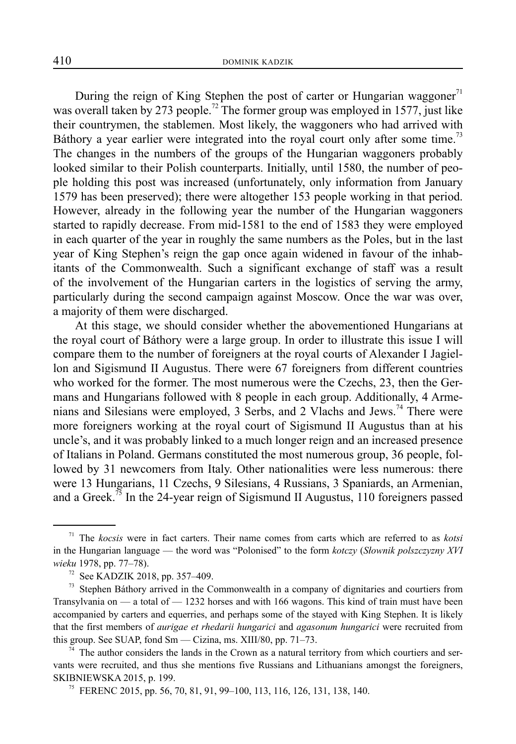During the reign of King Stephen the post of carter or Hungarian waggoner $^{71}$ was overall taken by 273 people.<sup>72</sup> The former group was employed in 1577, just like their countrymen, the stablemen. Most likely, the waggoners who had arrived with Báthory a year earlier were integrated into the royal court only after some time.<sup>73</sup> The changes in the numbers of the groups of the Hungarian waggoners probably looked similar to their Polish counterparts. Initially, until 1580, the number of people holding this post was increased (unfortunately, only information from January 1579 has been preserved); there were altogether 153 people working in that period. However, already in the following year the number of the Hungarian waggoners started to rapidly decrease. From mid-1581 to the end of 1583 they were employed in each quarter of the year in roughly the same numbers as the Poles, but in the last year of King Stephen's reign the gap once again widened in favour of the inhabitants of the Commonwealth. Such a significant exchange of staff was a result of the involvement of the Hungarian carters in the logistics of serving the army, particularly during the second campaign against Moscow. Once the war was over, a majority of them were discharged.

At this stage, we should consider whether the abovementioned Hungarians at the royal court of Báthory were a large group. In order to illustrate this issue I will compare them to the number of foreigners at the royal courts of Alexander I Jagiellon and Sigismund II Augustus. There were 67 foreigners from different countries who worked for the former. The most numerous were the Czechs, 23, then the Germans and Hungarians followed with 8 people in each group. Additionally, 4 Armenians and Silesians were employed, 3 Serbs, and 2 Vlachs and Jews.<sup>74</sup> There were more foreigners working at the royal court of Sigismund II Augustus than at his uncle's, and it was probably linked to a much longer reign and an increased presence of Italians in Poland. Germans constituted the most numerous group, 36 people, followed by 31 newcomers from Italy. Other nationalities were less numerous: there were 13 Hungarians, 11 Czechs, 9 Silesians, 4 Russians, 3 Spaniards, an Armenian, and a Greek.<sup>75</sup> In the 24-year reign of Sigismund II Augustus, 110 foreigners passed

<sup>73</sup> Stephen Báthory arrived in the Commonwealth in a company of dignitaries and courtiers from Transylvania on — a total of — 1232 horses and with 166 wagons. This kind of train must have been accompanied by carters and equerries, and perhaps some of the stayed with King Stephen. It is likely that the first members of *aurigae et rhedarii hungarici* and *agasonum hungarici* were recruited from this group. See SUAP, fond Sm — Cizina, ms. XIII/80, pp. 71–73.

The author considers the lands in the Crown as a natural territory from which courtiers and servants were recruited, and thus she mentions five Russians and Lithuanians amongst the foreigners, SKIBNIEWSKA 2015, p. 199.

<sup>75</sup> FERENC 2015, pp. 56, 70, 81, 91, 99–100, 113, 116, 126, 131, 138, 140.

<sup>71</sup> The *kocsis* were in fact carters. Their name comes from carts which are referred to as *kotsi* in the Hungarian language — the word was "Polonised" to the form *kotczy* (*Słownik polszczyzny XVI wieku* 1978, pp. 77–78).

See KADZIK 2018, pp. 357-409.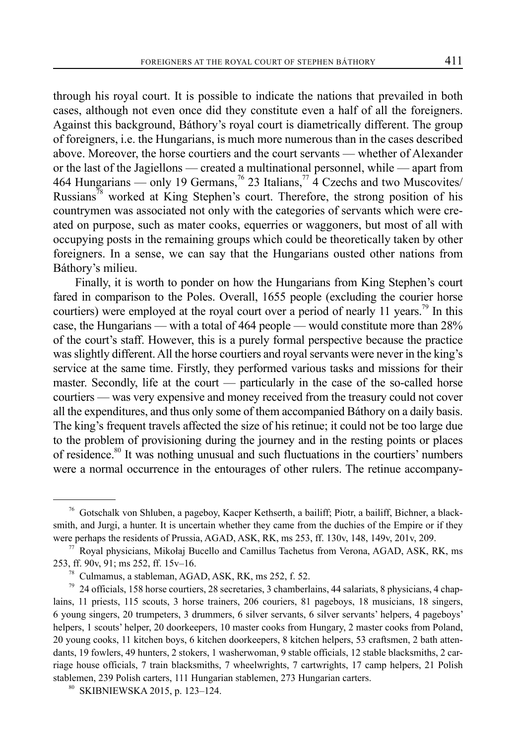through his royal court. It is possible to indicate the nations that prevailed in both cases, although not even once did they constitute even a half of all the foreigners. Against this background, Báthory's royal court is diametrically different. The group of foreigners, i.e. the Hungarians, is much more numerous than in the cases described above. Moreover, the horse courtiers and the court servants — whether of Alexander or the last of the Jagiellons — created a multinational personnel, while — apart from 464 Hungarians — only 19 Germans,<sup>76</sup> 23 Italians,<sup>77</sup> 4 Czechs and two Muscovites/ Russians<sup>78</sup> worked at King Stephen's court. Therefore, the strong position of his countrymen was associated not only with the categories of servants which were created on purpose, such as mater cooks, equerries or waggoners, but most of all with occupying posts in the remaining groups which could be theoretically taken by other foreigners. In a sense, we can say that the Hungarians ousted other nations from Báthory's milieu.

Finally, it is worth to ponder on how the Hungarians from King Stephen's court fared in comparison to the Poles. Overall, 1655 people (excluding the courier horse courtiers) were employed at the royal court over a period of nearly 11 years.<sup>79</sup> In this case, the Hungarians — with a total of 464 people — would constitute more than 28% of the court's staff. However, this is a purely formal perspective because the practice was slightly different. All the horse courtiers and royal servants were never in the king's service at the same time. Firstly, they performed various tasks and missions for their master. Secondly, life at the court — particularly in the case of the so-called horse courtiers — was very expensive and money received from the treasury could not cover all the expenditures, and thus only some of them accompanied Báthory on a daily basis. The king's frequent travels affected the size of his retinue; it could not be too large due to the problem of provisioning during the journey and in the resting points or places of residence.<sup>80</sup> It was nothing unusual and such fluctuations in the courtiers' numbers were a normal occurrence in the entourages of other rulers. The retinue accompany-

<sup>76</sup> Gotschalk von Shluben, a pageboy, Kacper Kethserth, a bailiff; Piotr, a bailiff, Bichner, a blacksmith, and Jurgi, a hunter. It is uncertain whether they came from the duchies of the Empire or if they were perhaps the residents of Prussia, AGAD, ASK, RK, ms 253, ff. 130v, 148, 149v, 201v, 209.

<sup>77</sup> Royal physicians, Mikołaj Bucello and Camillus Tachetus from Verona, AGAD, ASK, RK, ms 253, ff. 90v, 91; ms 252, ff. 15v–16.

<sup>78</sup> Culmamus, a stableman, AGAD, ASK, RK, ms 252, f. 52.

<sup>79 24</sup> officials, 158 horse courtiers, 28 secretaries, 3 chamberlains, 44 salariats, 8 physicians, 4 chaplains, 11 priests, 115 scouts, 3 horse trainers, 206 couriers, 81 pageboys, 18 musicians, 18 singers, 6 young singers, 20 trumpeters, 3 drummers, 6 silver servants, 6 silver servants' helpers, 4 pageboys' helpers, 1 scouts' helper, 20 doorkeepers, 10 master cooks from Hungary, 2 master cooks from Poland, 20 young cooks, 11 kitchen boys, 6 kitchen doorkeepers, 8 kitchen helpers, 53 craftsmen, 2 bath attendants, 19 fowlers, 49 hunters, 2 stokers, 1 washerwoman, 9 stable officials, 12 stable blacksmiths, 2 carriage house officials, 7 train blacksmiths, 7 wheelwrights, 7 cartwrights, 17 camp helpers, 21 Polish stablemen, 239 Polish carters, 111 Hungarian stablemen, 273 Hungarian carters. <sup>80</sup> SKIBNIEWSKA 2015, p. 123–124.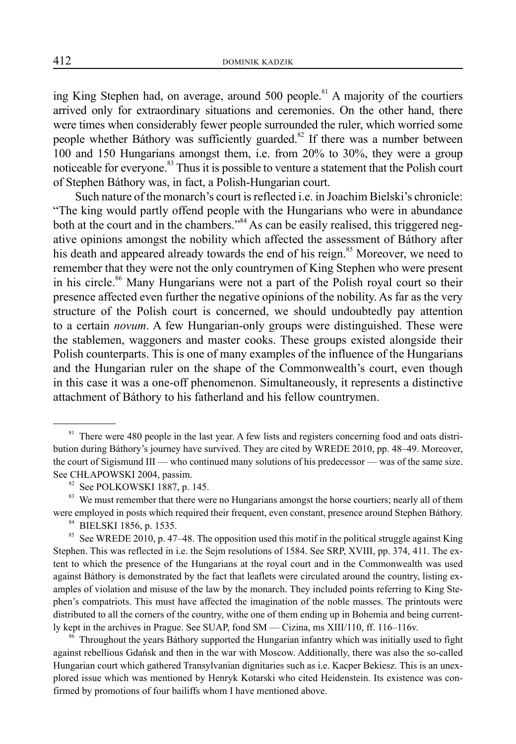ing King Stephen had, on average, around  $500$  people.<sup>81</sup> A majority of the courtiers arrived only for extraordinary situations and ceremonies. On the other hand, there were times when considerably fewer people surrounded the ruler, which worried some people whether Báthory was sufficiently guarded.<sup>82</sup> If there was a number between 100 and 150 Hungarians amongst them, i.e. from 20% to 30%, they were a group noticeable for everyone.<sup>83</sup> Thus it is possible to venture a statement that the Polish court of Stephen Báthory was, in fact, a Polish-Hungarian court.

Such nature of the monarch's court is reflected i.e. in Joachim Bielski's chronicle: "The king would partly offend people with the Hungarians who were in abundance both at the court and in the chambers."<sup>84</sup> As can be easily realised, this triggered negative opinions amongst the nobility which affected the assessment of Báthory after his death and appeared already towards the end of his reign.<sup>85</sup> Moreover, we need to remember that they were not the only countrymen of King Stephen who were present in his circle.<sup>86</sup> Many Hungarians were not a part of the Polish royal court so their presence affected even further the negative opinions of the nobility. As far as the very structure of the Polish court is concerned, we should undoubtedly pay attention to a certain *novum*. A few Hungarian-only groups were distinguished. These were the stablemen, waggoners and master cooks. These groups existed alongside their Polish counterparts. This is one of many examples of the influence of the Hungarians and the Hungarian ruler on the shape of the Commonwealth's court, even though in this case it was a one-off phenomenon. Simultaneously, it represents a distinctive attachment of Báthory to his fatherland and his fellow countrymen.

<sup>86</sup> Throughout the years Báthory supported the Hungarian infantry which was initially used to fight against rebellious Gdańsk and then in the war with Moscow. Additionally, there was also the so-called Hungarian court which gathered Transylvanian dignitaries such as i.e. Kacper Bekiesz. This is an unexplored issue which was mentioned by Henryk Kotarski who cited Heidenstein. Its existence was confirmed by promotions of four bailiffs whom I have mentioned above.

<sup>&</sup>lt;sup>81</sup> There were 480 people in the last year. A few lists and registers concerning food and oats distribution during Báthory's journey have survived. They are cited by WREDE 2010, pp. 48–49. Moreover, the court of Sigismund III — who continued many solutions of his predecessor — was of the same size. See CHŁAPOWSKI 2004, passim.

<sup>82</sup> See POLKOWSKI 1887, p. 145.

<sup>&</sup>lt;sup>83</sup> We must remember that there were no Hungarians amongst the horse courtiers; nearly all of them were employed in posts which required their frequent, even constant, presence around Stephen Báthory.

<sup>84</sup> BIELSKI 1856, p. 1535.

<sup>&</sup>lt;sup>85</sup> See WREDE 2010, p. 47–48. The opposition used this motif in the political struggle against King Stephen. This was reflected in i.e. the Sejm resolutions of 1584. See SRP, XVIII, pp. 374, 411. The extent to which the presence of the Hungarians at the royal court and in the Commonwealth was used against Báthory is demonstrated by the fact that leaflets were circulated around the country, listing examples of violation and misuse of the law by the monarch. They included points referring to King Stephen's compatriots. This must have affected the imagination of the noble masses. The printouts were distributed to all the corners of the country, withe one of them ending up in Bohemia and being currently kept in the archives in Prague. See SUAP, fond SM — Cizina, ms XIII/110, ff. 116–116v.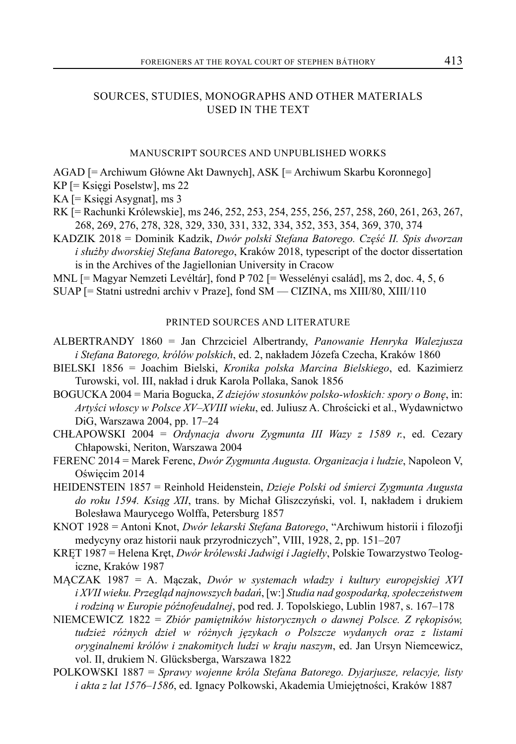### SOURCES, STUDIES, MONOGRAPHS AND OTHER MATERIALS USED IN THE TEXT

#### MANUSCRIPT SOURCES AND UNPUBLISHED WORKS

AGAD [= Archiwum Główne Akt Dawnych], ASK [= Archiwum Skarbu Koronnego]

- KP [= Księgi Poselstw], ms 22
- KA [= Księgi Asygnat], ms 3
- RK [= Rachunki Królewskie], ms 246, 252, 253, 254, 255, 256, 257, 258, 260, 261, 263, 267, 268, 269, 276, 278, 328, 329, 330, 331, 332, 334, 352, 353, 354, 369, 370, 374
- KADZIK 2018 = Dominik Kadzik, *Dwór polski Stefana Batorego. Część II. Spis dworzan i służby dworskiej Stefana Batorego*, Kraków 2018, typescript of the doctor dissertation is in the Archives of the Jagiellonian University in Cracow

MNL [= Magyar Nemzeti Levéltár], fond P 702 [= Wesselényi család], ms 2, doc. 4, 5, 6

SUAP [= Statni ustredni archiv v Praze], fond SM — CIZINA, ms XIII/80, XIII/110

#### PRINTED SOURCES AND LITERATURE

- ALBERTRANDY 1860 = Jan Chrzciciel Albertrandy, *Panowanie Henryka Walezjusza i Stefana Batorego, królów polskich*, ed. 2, nakładem Józefa Czecha, Kraków 1860
- BIELSKI 1856 = Joachim Bielski, *Kronika polska Marcina Bielskiego*, ed. Kazimierz Turowski, vol. III, nakład i druk Karola Pollaka, Sanok 1856
- BOGUCKA 2004 = Maria Bogucka, *Z dziejów stosunków polsko-włoskich: spory o Bonę*, in: *Artyści włoscy w Polsce XV–XVIII wieku*, ed. Juliusz A. Chrościcki et al., Wydawnictwo DiG, Warszawa 2004, pp. 17–24
- CHŁAPOWSKI 2004 = *Ordynacja dworu Zygmunta III Wazy z 1589 r.*, ed. Cezary Chłapowski, Neriton, Warszawa 2004
- FERENC 2014 = Marek Ferenc, *Dwór Zygmunta Augusta. Organizacja i ludzie*, Napoleon V, Oświęcim 2014
- HEIDENSTEIN 1857 = Reinhold Heidenstein, *Dzieje Polski od śmierci Zygmunta Augusta do roku 1594. Ksiąg XII*, trans. by Michał Gliszczyński, vol. I, nakładem i drukiem Bolesława Maurycego Wolffa, Petersburg 1857
- KNOT 1928 = Antoni Knot, *Dwór lekarski Stefana Batorego*, "Archiwum historii i filozofji medycyny oraz historii nauk przyrodniczych", VIII, 1928, 2, pp. 151–207
- KRĘT 1987 = Helena Kręt, *Dwór królewski Jadwigi i Jagiełły*, Polskie Towarzystwo Teologiczne, Kraków 1987
- MĄCZAK 1987 = A. Mączak, *Dwór w systemach władzy i kultury europejskiej XVI i XVII wieku. Przegląd najnowszych badań*, [w:] *Studia nad gospodarką, społeczeństwem i rodziną w Europie późnofeudalnej*, pod red. J. Topolskiego, Lublin 1987, s. 167–178
- NIEMCEWICZ 1822 = *Zbiór pamiętników historycznych o dawnej Polsce. Z rękopisów, tudzież różnych dzieł w różnych językach o Polszcze wydanych oraz z listami oryginalnemi królów i znakomitych ludzi w kraju naszym*, ed. Jan Ursyn Niemcewicz, vol. II, drukiem N. Glücksberga, Warszawa 1822
- POLKOWSKI 1887 = *Sprawy wojenne króla Stefana Batorego. Dyjarjusze, relacyje, listy i akta z lat 1576–1586*, ed. Ignacy Polkowski, Akademia Umiejętności, Kraków 1887